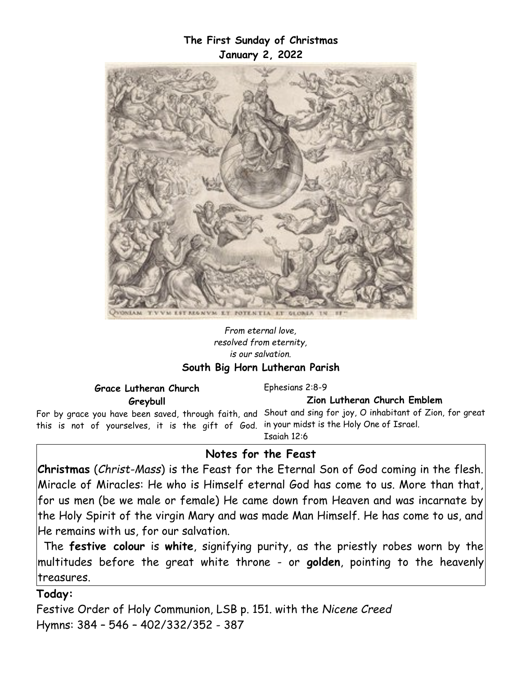### **The First Sunday of Christmas January 2, 2022**



#### *From eternal love, resolved from eternity, is our salvation.* **South Big Horn Lutheran Parish**

**Grace Lutheran Church Greybull**

Ephesians 2:8-9

**Zion Lutheran Church Emblem**

For by grace you have been saved, through faith, and Shout and sing for joy, O inhabitant of Zion, for great this is not of yourselves, it is the gift of God. in your midst is the Holy One of Israel.

Isaiah 12:6

### **Notes for the Feast**

**Christmas** (*Christ-Mass*) is the Feast for the Eternal Son of God coming in the flesh. Miracle of Miracles: He who is Himself eternal God has come to us. More than that, for us men (be we male or female) He came down from Heaven and was incarnate by the Holy Spirit of the virgin Mary and was made Man Himself. He has come to us, and He remains with us, for our salvation.

The **festive colour** is **white**, signifying purity, as the priestly robes worn by the multitudes before the great white throne - or **golden**, pointing to the heavenly treasures.

### **Today:**

Festive Order of Holy Communion, LSB p. 151. with the *Nicene Creed* Hymns: 384 – 546 – 402/332/352 - 387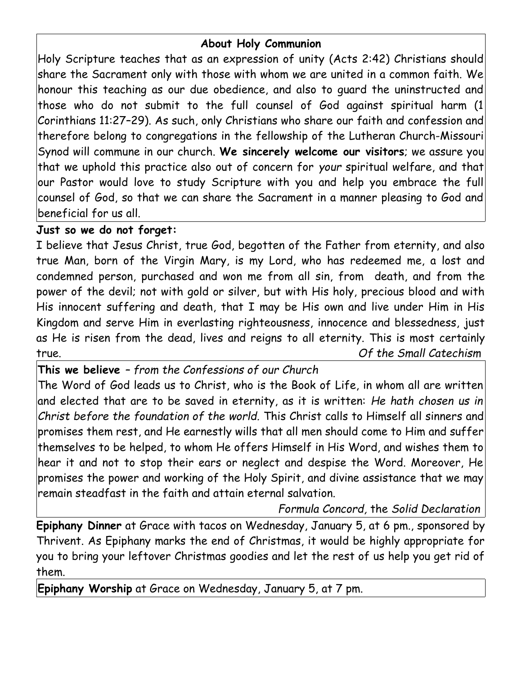# **About Holy Communion**

Holy Scripture teaches that as an expression of unity (Acts 2:42) Christians should share the Sacrament only with those with whom we are united in a common faith. We honour this teaching as our due obedience, and also to guard the uninstructed and those who do not submit to the full counsel of God against spiritual harm (1 Corinthians 11:27–29). As such, only Christians who share our faith and confession and therefore belong to congregations in the fellowship of the Lutheran Church-Missouri Synod will commune in our church. **We sincerely welcome our visitors**; we assure you that we uphold this practice also out of concern for *your* spiritual welfare, and that our Pastor would love to study Scripture with you and help you embrace the full counsel of God, so that we can share the Sacrament in a manner pleasing to God and beneficial for us all.

# **Just so we do not forget:**

I believe that Jesus Christ, true God, begotten of the Father from eternity, and also true Man, born of the Virgin Mary, is my Lord, who has redeemed me, a lost and condemned person, purchased and won me from all sin, from death, and from the power of the devil; not with gold or silver, but with His holy, precious blood and with His innocent suffering and death, that I may be His own and live under Him in His Kingdom and serve Him in everlasting righteousness, innocence and blessedness, just as He is risen from the dead, lives and reigns to all eternity. This is most certainly true. *Of the Small Catechism*

**This we believe** *– from the Confessions of our Church*

The Word of God leads us to Christ, who is the Book of Life, in whom all are written and elected that are to be saved in eternity, as it is written: *He hath chosen us in Christ before the foundation of the world.* This Christ calls to Himself all sinners and promises them rest, and He earnestly wills that all men should come to Him and suffer themselves to be helped, to whom He offers Himself in His Word, and wishes them to hear it and not to stop their ears or neglect and despise the Word. Moreover, He promises the power and working of the Holy Spirit, and divine assistance that we may remain steadfast in the faith and attain eternal salvation.

*Formula Concord,* the *Solid Declaration*

**Epiphany Dinner** at Grace with tacos on Wednesday, January 5, at 6 pm., sponsored by Thrivent. As Epiphany marks the end of Christmas, it would be highly appropriate for you to bring your leftover Christmas goodies and let the rest of us help you get rid of them.

**Epiphany Worship** at Grace on Wednesday, January 5, at 7 pm.